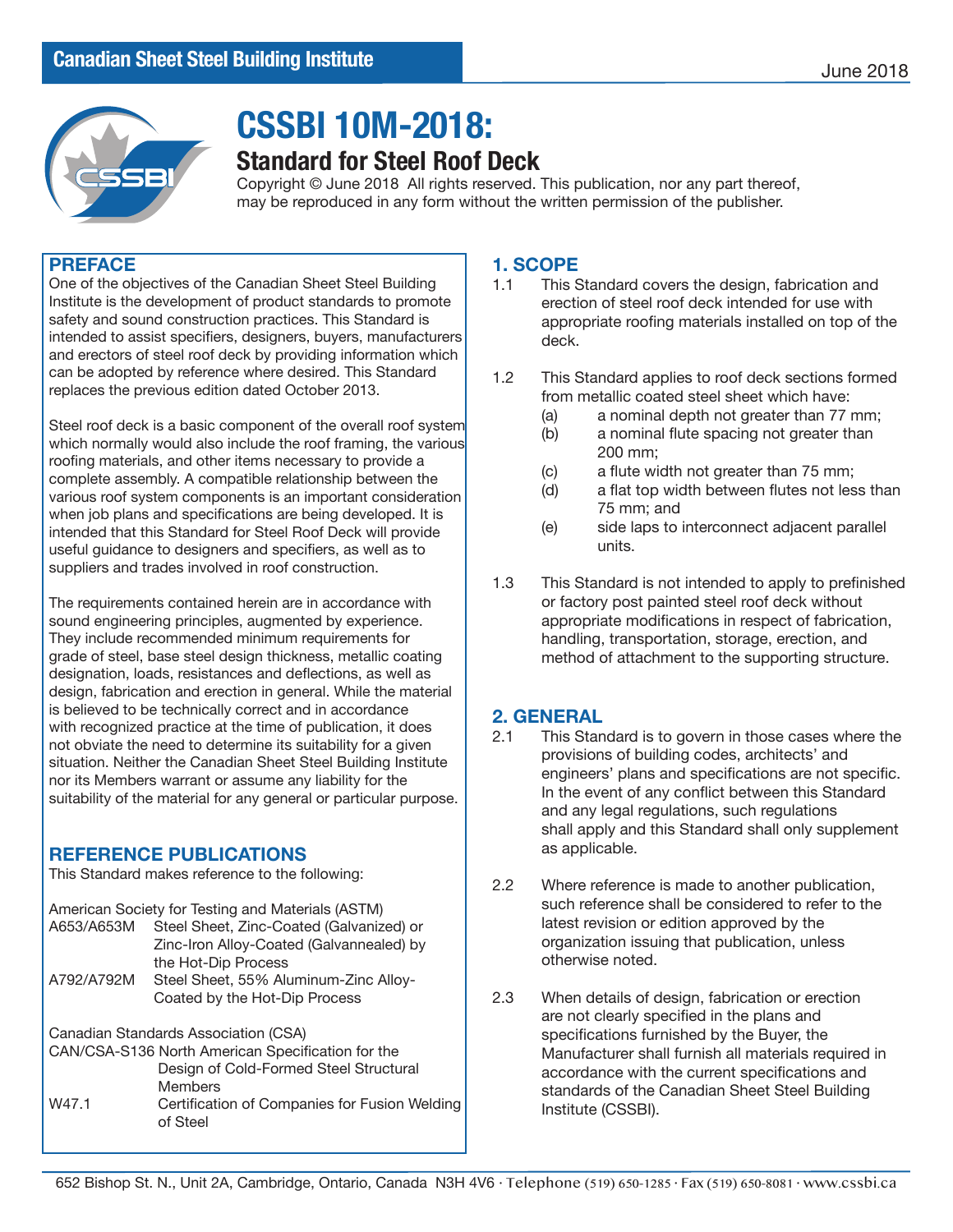

# **CSSBI 10M-2018:**

## **Standard for Steel Roof Deck**

Copyright © June 2018 All rights reserved. This publication, nor any part thereof, may be reproduced in any form without the written permission of the publisher.

### **PREFACE**

One of the objectives of the Canadian Sheet Steel Building Institute is the development of product standards to promote safety and sound construction practices. This Standard is intended to assist specifiers, designers, buyers, manufacturers and erectors of steel roof deck by providing information which can be adopted by reference where desired. This Standard replaces the previous edition dated October 2013.

Steel roof deck is a basic component of the overall roof system which normally would also include the roof framing, the various roofing materials, and other items necessary to provide a complete assembly. A compatible relationship between the various roof system components is an important consideration when job plans and specifications are being developed. It is intended that this Standard for Steel Roof Deck will provide useful guidance to designers and specifiers, as well as to suppliers and trades involved in roof construction.

The requirements contained herein are in accordance with sound engineering principles, augmented by experience. They include recommended minimum requirements for grade of steel, base steel design thickness, metallic coating designation, loads, resistances and deflections, as well as design, fabrication and erection in general. While the material is believed to be technically correct and in accordance with recognized practice at the time of publication, it does not obviate the need to determine its suitability for a given situation. Neither the Canadian Sheet Steel Building Institute nor its Members warrant or assume any liability for the suitability of the material for any general or particular purpose.

### **REFERENCE PUBLICATIONS**

This Standard makes reference to the following:

| American Society for Testing and Materials (ASTM) |                                          |  |
|---------------------------------------------------|------------------------------------------|--|
| A653/A653M                                        | Steel Sheet, Zinc-Coated (Galvanized) or |  |
|                                                   | Zinc-Iron Alloy-Coated (Galvannealed) by |  |
|                                                   | the Hot-Dip Process                      |  |
| A792/A792M                                        | Steel Sheet, 55% Aluminum-Zinc Alloy-    |  |
|                                                   | Coated by the Hot-Dip Process            |  |
| Canadian Standarda Association (CSA)              |                                          |  |

Canadian Standards Association (CSA)

| CAN/CSA-S136 North American Specification for the |
|---------------------------------------------------|
| Design of Cold-Formed Steel Structural            |
| Members                                           |

W47.1 Certification of Companies for Fusion Welding of Steel

# **1. SCOPE**<br>**1.1** This S

- This Standard covers the design, fabrication and erection of steel roof deck intended for use with appropriate roofing materials installed on top of the deck.
- 1.2 This Standard applies to roof deck sections formed from metallic coated steel sheet which have:
	- (a) a nominal depth not greater than 77 mm;
	- (b) a nominal flute spacing not greater than 200 mm;
	- (c) a flute width not greater than 75 mm;
	- (d) a flat top width between flutes not less than 75 mm; and
	- (e) side laps to interconnect adjacent parallel units.
- 1.3 This Standard is not intended to apply to prefinished or factory post painted steel roof deck without appropriate modifications in respect of fabrication, handling, transportation, storage, erection, and method of attachment to the supporting structure.

# **2. GENERAL**<br>2.1 This Stan

- This Standard is to govern in those cases where the provisions of building codes, architects' and engineers' plans and specifications are not specific. In the event of any conflict between this Standard and any legal regulations, such regulations shall apply and this Standard shall only supplement as applicable.
- 2.2 Where reference is made to another publication, such reference shall be considered to refer to the latest revision or edition approved by the organization issuing that publication, unless otherwise noted.
- 2.3 When details of design, fabrication or erection are not clearly specified in the plans and specifications furnished by the Buyer, the Manufacturer shall furnish all materials required in accordance with the current specifications and standards of the Canadian Sheet Steel Building Institute (CSSBI).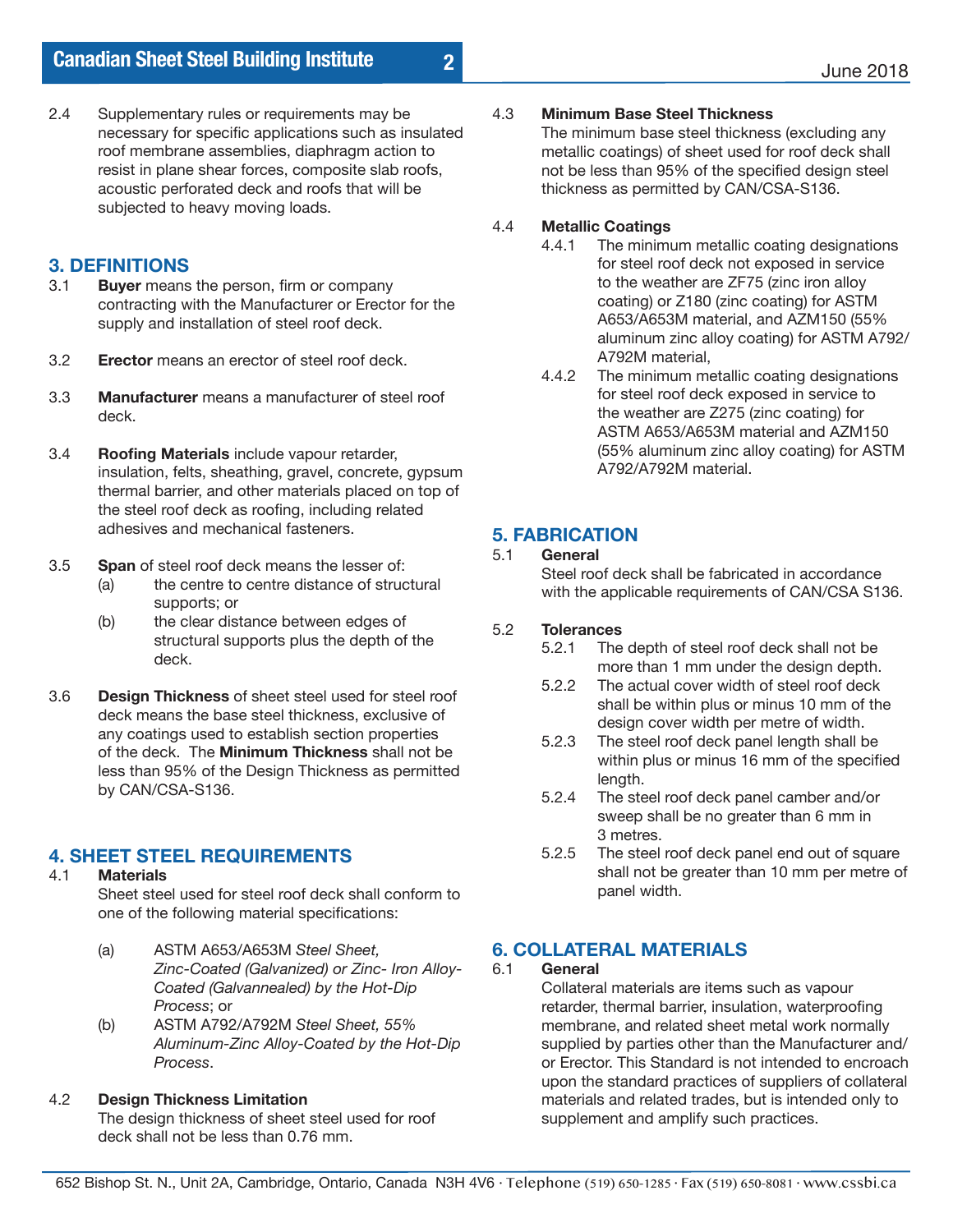2.4 Supplementary rules or requirements may be necessary for specific applications such as insulated roof membrane assemblies, diaphragm action to resist in plane shear forces, composite slab roofs, acoustic perforated deck and roofs that will be subjected to heavy moving loads.

# **3.1 Buver means**

- **Buyer** means the person, firm or company contracting with the Manufacturer or Erector for the supply and installation of steel roof deck.
- 3.2 **Erector** means an erector of steel roof deck.
- 3.3 **Manufacturer** means a manufacturer of steel roof deck.
- 3.4 **Roofing Materials** include vapour retarder, insulation, felts, sheathing, gravel, concrete, gypsum thermal barrier, and other materials placed on top of the steel roof deck as roofing, including related adhesives and mechanical fasteners.
- 3.5 **Span** of steel roof deck means the lesser of:
	- (a) the centre to centre distance of structural supports; or
	- (b) the clear distance between edges of structural supports plus the depth of the deck.
- 3.6 **Design Thickness** of sheet steel used for steel roof deck means the base steel thickness, exclusive of any coatings used to establish section properties of the deck. The **Minimum Thickness** shall not be less than 95% of the Design Thickness as permitted by CAN/CSA-S136.

# **4. SHEET STEEL REQUIREMENTS**

#### 4.1 **Materials**

Sheet steel used for steel roof deck shall conform to one of the following material specifications:

- (a) ASTM A653/A653M *Steel Sheet, Zinc-Coated (Galvanized) or Zinc- Iron Alloy- Coated (Galvannealed) by the Hot-Dip Process*; or<br>(b) ASTM A792
- (b) ASTM A792/A792M *Steel Sheet, 55% Aluminum-Zinc Alloy-Coated by the Hot-Dip Process*.

### 4.2 **Design Thickness Limitation**

The design thickness of sheet steel used for roof deck shall not be less than 0.76 mm.

#### 4.3 **Minimum Base Steel Thickness**

The minimum base steel thickness (excluding any metallic coatings) of sheet used for roof deck shall not be less than 95% of the specified design steel thickness as permitted by CAN/CSA-S136.

#### 4.4 **Metallic Coatings**

**2**

- 4.4.1 The minimum metallic coating designations for steel roof deck not exposed in service to the weather are ZF75 (zinc iron alloy coating) or Z180 (zinc coating) for ASTM A653/A653M material, and AZM150 (55% aluminum zinc alloy coating) for ASTM A792/ A792M material,<br>4.4.2 The minimum me
- The minimum metallic coating designations for steel roof deck exposed in service to the weather are Z275 (zinc coating) for ASTM A653/A653M material and AZM150 (55% aluminum zinc alloy coating) for ASTM A792/A792M material.

# **5. FABRICATION**

5.1 **General** Steel roof deck shall be fabricated in accordance with the applicable requirements of CAN/CSA S136.

# 5.2 **Tolerances**

- The depth of steel roof deck shall not be more than 1 mm under the design depth.<br>5.2.2 The actual cover width of steel roof deck
- The actual cover width of steel roof deck shall be within plus or minus 10 mm of the design cover width per metre of width.<br>5.2.3 The steel roof deck panel length shall b
- The steel roof deck panel length shall be within plus or minus 16 mm of the specified length.<br>5.2.4 The ste
- The steel roof deck panel camber and/or sweep shall be no greater than 6 mm in 3 metres.<br>5.2.5 The steel
- The steel roof deck panel end out of square shall not be greater than 10 mm per metre of panel width.

# **6. COLLATERAL MATERIALS**

6.1 **General**

Collateral materials are items such as vapour retarder, thermal barrier, insulation, waterproofing membrane, and related sheet metal work normally supplied by parties other than the Manufacturer and/ or Erector. This Standard is not intended to encroach upon the standard practices of suppliers of collateral materials and related trades, but is intended only to supplement and amplify such practices.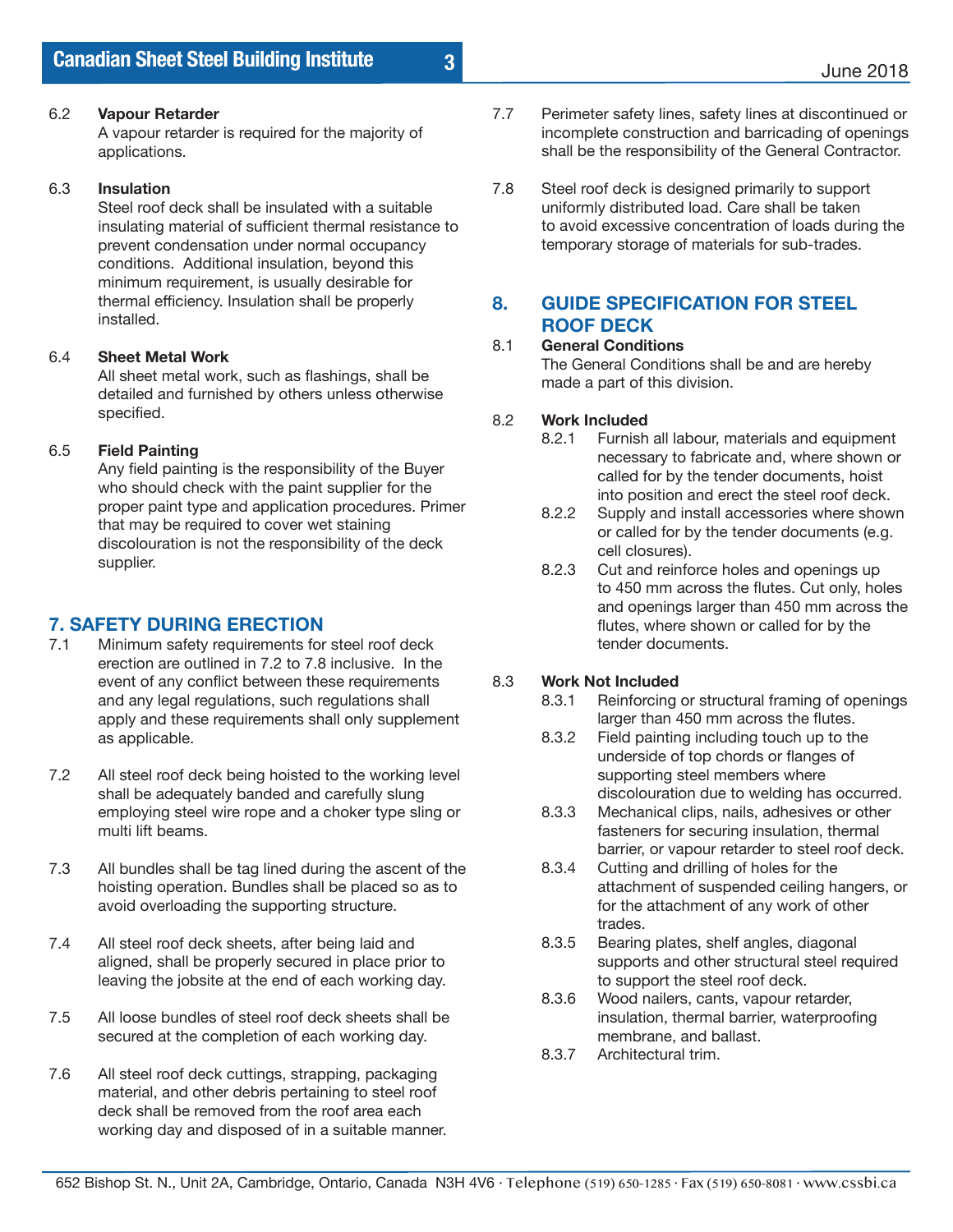### 6.2 **Vapour Retarder**

A vapour retarder is required for the majority of applications.

### 6.3 **Insulation**

Steel roof deck shall be insulated with a suitable insulating material of sufficient thermal resistance to prevent condensation under normal occupancy conditions. Additional insulation, beyond this minimum requirement, is usually desirable for thermal efficiency. Insulation shall be properly installed.

### 6.4 **Sheet Metal Work**

All sheet metal work, such as flashings, shall be detailed and furnished by others unless otherwise specified.

### 6.5 **Field Painting**

Any field painting is the responsibility of the Buyer who should check with the paint supplier for the proper paint type and application procedures. Primer that may be required to cover wet staining discolouration is not the responsibility of the deck supplier.

# **7. SAFETY DURING ERECTION**<br>7.1 Minimum safety requirements for

- Minimum safety requirements for steel roof deck erection are outlined in 7.2 to 7.8 inclusive. In the event of any conflict between these requirements and any legal regulations, such regulations shall apply and these requirements shall only supplement as applicable.
- 7.2 All steel roof deck being hoisted to the working level shall be adequately banded and carefully slung employing steel wire rope and a choker type sling or multi lift beams.
- 7.3 All bundles shall be tag lined during the ascent of the hoisting operation. Bundles shall be placed so as to avoid overloading the supporting structure.
- 7.4 All steel roof deck sheets, after being laid and aligned, shall be properly secured in place prior to leaving the jobsite at the end of each working day.
- 7.5 All loose bundles of steel roof deck sheets shall be secured at the completion of each working day.
- 7.6 All steel roof deck cuttings, strapping, packaging material, and other debris pertaining to steel roof deck shall be removed from the roof area each working day and disposed of in a suitable manner.
- 7.7 Perimeter safety lines, safety lines at discontinued or incomplete construction and barricading of openings shall be the responsibility of the General Contractor.
- 7.8 Steel roof deck is designed primarily to support uniformly distributed load. Care shall be taken to avoid excessive concentration of loads during the temporary storage of materials for sub-trades.

### **8. GUIDE SPECIFICATION FOR STEEL ROOF DECK**

### 8.1 **General Conditions**

The General Conditions shall be and are hereby made a part of this division.

### 8.2 **Work Included**

**3**

- 8.2.1 Furnish all labour, materials and equipment necessary to fabricate and, where shown or called for by the tender documents, hoist into position and erect the steel roof deck.<br>8.2.2 Supply and install accessories where show
- Supply and install accessories where shown or called for by the tender documents (e.g. cell closures).
- 8.2.3 Cut and reinforce holes and openings up to 450 mm across the flutes. Cut only, holes and openings larger than 450 mm across the flutes, where shown or called for by the tender documents.

### 8.3 **Work Not Included**

- 8.3.1 Reinforcing or structural framing of openings larger than 450 mm across the flutes.
- 8.3.2 Field painting including touch up to the underside of top chords or flanges of supporting steel members where
- discolouration due to welding has occurred.<br>8.3.3 Mechanical clips. nails. adhesives or other Mechanical clips, nails, adhesives or other fasteners for securing insulation, thermal barrier, or vapour retarder to steel roof deck.
- 8.3.4 Cutting and drilling of holes for the attachment of suspended ceiling hangers, or for the attachment of any work of other trades.
- 8.3.5 Bearing plates, shelf angles, diagonal supports and other structural steel required to support the steel roof deck.
- 8.3.6 Wood nailers, cants, vapour retarder, insulation, thermal barrier, waterproofing membrane, and ballast.
- 8.3.7 Architectural trim.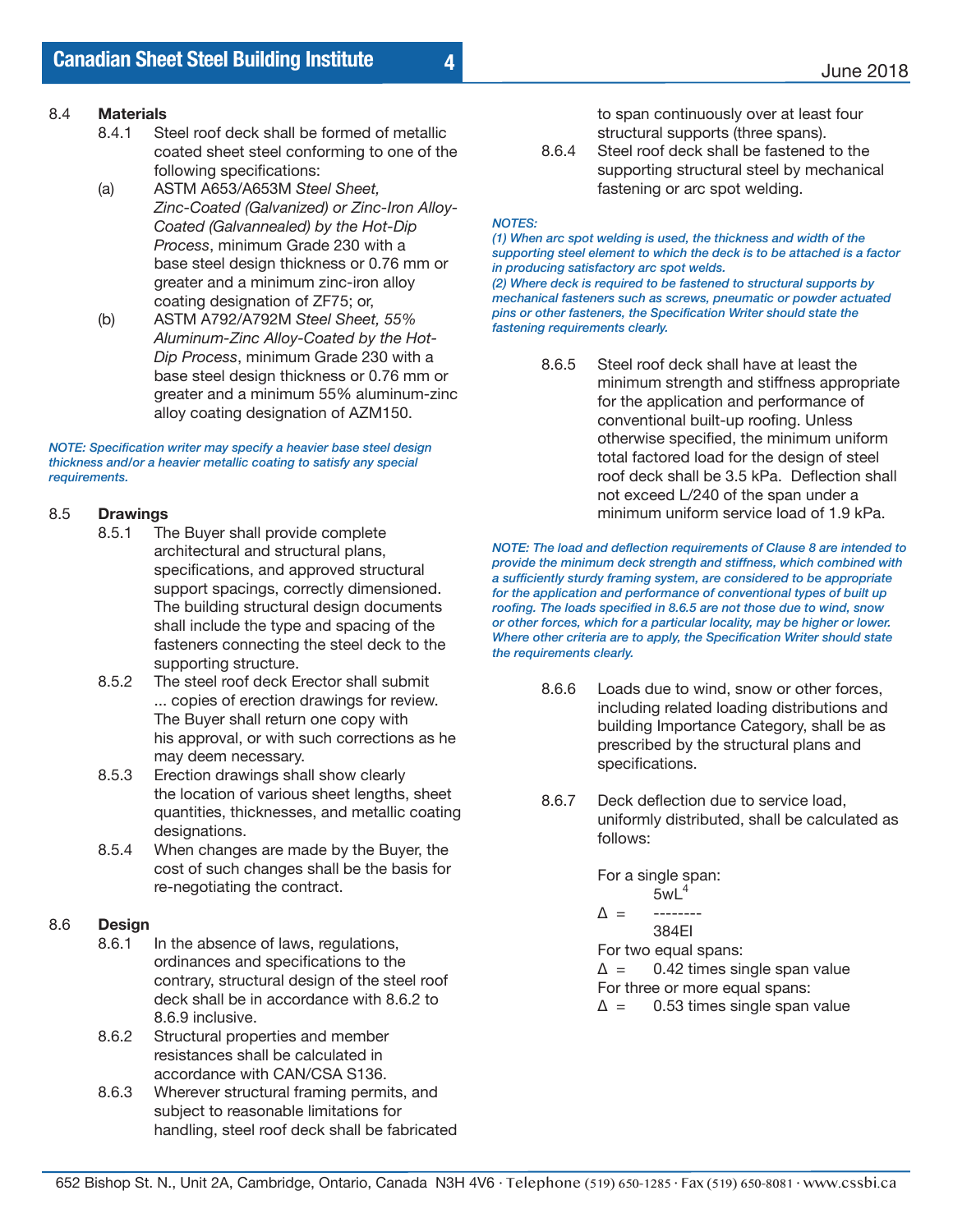- 8.4.1 Steel roof deck shall be formed of metallic coated sheet steel conforming to one of the following specifications:
- (a) ASTM A653/A653M *Steel Sheet, Zinc-Coated (Galvanized) or Zinc-Iron Alloy- Coated (Galvannealed) by the Hot-Dip Process*, minimum Grade 230 with a base steel design thickness or 0.76 mm or greater and a minimum zinc-iron alloy coating designation of ZF75; or,
- (b) ASTM A792/A792M *Steel Sheet, 55% Aluminum-Zinc Alloy-Coated by the Hot- Dip Process*, minimum Grade 230 with a base steel design thickness or 0.76 mm or greater and a minimum 55% aluminum-zinc alloy coating designation of AZM150.

*NOTE: Specification writer may specify a heavier base steel design thickness and/or a heavier metallic coating to satisfy any special requirements.*

# 8.5 **Drawings**

- The Buyer shall provide complete architectural and structural plans, specifications, and approved structural support spacings, correctly dimensioned. The building structural design documents shall include the type and spacing of the fasteners connecting the steel deck to the supporting structure.
- 8.5.2 The steel roof deck Erector shall submit ... copies of erection drawings for review. The Buyer shall return one copy with his approval, or with such corrections as he may deem necessary.
- 8.5.3 Erection drawings shall show clearly the location of various sheet lengths, sheet quantities, thicknesses, and metallic coating designations.<br>8.5.4 When change
- When changes are made by the Buyer, the cost of such changes shall be the basis for re-negotiating the contract.

# 8.6 **Design**

- In the absence of laws, regulations, ordinances and specifications to the contrary, structural design of the steel roof deck shall be in accordance with 8.6.2 to 8.6.9 inclusive.<br>8.6.2 Structural prope
- Structural properties and member resistances shall be calculated in accordance with CAN/CSA S136.
- 8.6.3 Wherever structural framing permits, and subject to reasonable limitations for handling, steel roof deck shall be fabricated

 to span continuously over at least four structural supports (three spans).

8.6.4 Steel roof deck shall be fastened to the supporting structural steel by mechanical fastening or arc spot welding.

#### *NOTES:*

**4**

*(1) When arc spot welding is used, the thickness and width of the supporting steel element to which the deck is to be attached is a factor in producing satisfactory arc spot welds.* 

*(2) Where deck is required to be fastened to structural supports by mechanical fasteners such as screws, pneumatic or powder actuated pins or other fasteners, the Specification Writer should state the fastening requirements clearly.*

> 8.6.5 Steel roof deck shall have at least the minimum strength and stiffness appropriate for the application and performance of conventional built-up roofing. Unless otherwise specified, the minimum uniform total factored load for the design of steel roof deck shall be 3.5 kPa. Deflection shall not exceed L/240 of the span under a minimum uniform service load of 1.9 kPa.

*NOTE: The load and deflection requirements of Clause 8 are intended to provide the minimum deck strength and stiffness, which combined with a sufficiently sturdy framing system, are considered to be appropriate for the application and performance of conventional types of built up roofing. The loads specified in 8.6.5 are not those due to wind, snow or other forces, which for a particular locality, may be higher or lower. Where other criteria are to apply, the Specification Writer should state the requirements clearly.*

- 8.6.6 Loads due to wind, snow or other forces, including related loading distributions and building Importance Category, shall be as prescribed by the structural plans and specifications.
- 8.6.7 Deck deflection due to service load, uniformly distributed, shall be calculated as follows:

 For a single span:  $5wL<sup>4</sup>$  $\Lambda$  – 384EI For two equal spans:  $\Delta$  = 0.42 times single span value

 For three or more equal spans:  $\Delta$  = 0.53 times single span value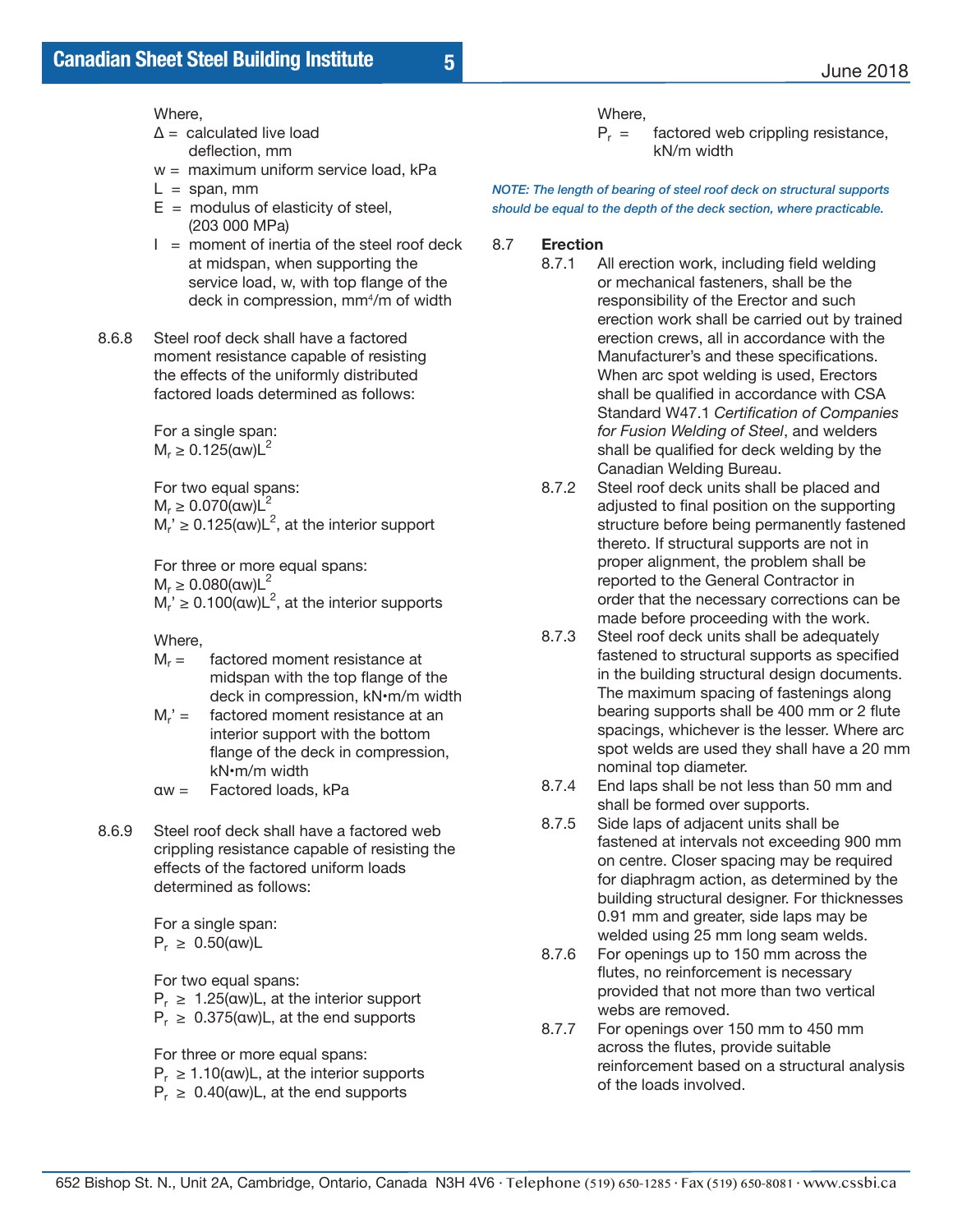Where,

 $\Delta$  = calculated live load deflection, mm

- w = maximum uniform service load, kPa
- $L =$ span, mm
- $E =$  modulus of elasticity of steel, (203 000 MPa)
- $I =$  moment of inertia of the steel roof deck at midspan, when supporting the service load, w, with top flange of the deck in compression, mm4 /m of width
	- 8.6.8 Steel roof deck shall have a factored moment resistance capable of resisting the effects of the uniformly distributed factored loads determined as follows:

 For a single span:  $M_r \ge 0.125$ (aw) $L^2$ 

 For two equal spans:  $M_r \geq 0.070$ (αw) $L^2$  $M_r \geq 0.125$ (aw) $L^2$ , at the interior support

 For three or more equal spans:  $M_r \geq 0.080$ (aw) $L^2$  $M_r' \geq 0.100$ (αw)L<sup>2</sup>, at the interior supports

Where,

- $M_r =$  factored moment resistance at midspan with the top flange of the deck in compression, kN•m/m width
- $M_r' =$  factored moment resistance at an interior support with the bottom flange of the deck in compression, kN•m/m width
- αw = Factored loads, kPa
- 8.6.9 Steel roof deck shall have a factored web crippling resistance capable of resisting the effects of the factored uniform loads determined as follows:

 For a single span:  $P_r \geq 0.50$ (αw)L

 For two equal spans:  $P_r \geq 1.25$ (aw)L, at the interior support  $P_r \geq 0.375$ (aw)L, at the end supports

For three or more equal spans:

- $P_r \ge 1.10$ (aw)L, at the interior supports
- $P_r \geq 0.40$ (aw)L, at the end supports

Where,<br> $P_r =$ 

factored web crippling resistance, kN/m width

*NOTE: The length of bearing of steel roof deck on structural supports should be equal to the depth of the deck section, where practicable.*

#### 8.7 **Erection**

- 8.7.1 All erection work, including field welding or mechanical fasteners, shall be the responsibility of the Erector and such erection work shall be carried out by trained erection crews, all in accordance with the Manufacturer's and these specifications. When arc spot welding is used, Erectors shall be qualified in accordance with CSA Standard W47.1 *Certification of Companies for Fusion Welding of Steel*, and welders shall be qualified for deck welding by the Canadian Welding Bureau.<br>8.7.2 Steel roof deck units shall I
	- Steel roof deck units shall be placed and adjusted to final position on the supporting structure before being permanently fastened thereto. If structural supports are not in proper alignment, the problem shall be reported to the General Contractor in order that the necessary corrections can be made before proceeding with the work.<br>8.7.3 Steel roof deck units shall be adequatel
	- Steel roof deck units shall be adequately fastened to structural supports as specified in the building structural design documents. The maximum spacing of fastenings along bearing supports shall be 400 mm or 2 flute spacings, whichever is the lesser. Where arc spot welds are used they shall have a 20 mm nominal top diameter.<br>8.7.4 Fnd laps shall be not l
	- End laps shall be not less than 50 mm and shall be formed over supports.<br>8.7.5 Side laps of adiacent units sha
	- Side laps of adjacent units shall be fastened at intervals not exceeding 900 mm on centre. Closer spacing may be required for diaphragm action, as determined by the building structural designer. For thicknesses 0.91 mm and greater, side laps may be welded using 25 mm long seam welds.<br>8.7.6 For openings up to 150 mm across the
	- For openings up to 150 mm across the flutes, no reinforcement is necessary provided that not more than two vertical webs are removed.<br>8.7.7 For openings over
	- For openings over 150 mm to 450 mm across the flutes, provide suitable reinforcement based on a structural analysis of the loads involved.